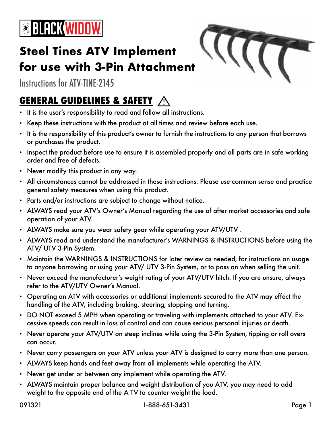

# **Steel Tines ATV Implement for use with 3-Pin Attachment**

Instructions for ATV-TINE-2145

#### **GENERAL GUIDELINES & SAFETY**

- It is the user's responsibility to read and follow all instructions.
- Keep these instructions with the product at all times and review before each use.
- It is the responsibility of this product's owner to furnish the instructions to any person that borrows or purchases the product.
- Inspect the product before use to ensure it is assembled properly and all parts are in safe working order and free of defects.
- Never modify this product in any way.
- All circumstances cannot be addressed in these instructions. Please use common sense and practice general safety measures when using this product.
- Parts and/or instructions are subject to change without notice.
- ALWAYS read your ATV's Owner's Manual regarding the use of after market accessories and safe operation of your ATV.
- ALWAYS make sure you wear safety gear while operating your ATV/UTV .
- ALWAYS read and understand the manufacturer's WARNINGS & INSTRUCTIONS before using the ATV/ UTV 3-Pin System.
- Maintain the WARNINGS & INSTRUCTIONS for later review as needed, for instructions on usage to anyone borrowing or using your ATV/ UTV 3-Pin System, or to pass on when selling the unit.
- Never exceed the manufacturer's weight rating of your ATV/UTV hitch. If you are unsure, always refer to the ATV/UTV Owner's Manual.
- Operating an ATV with accessories or additional implements secured to the ATV may effect the handling of the ATV, including braking, steering, stopping and turning.
- DO NOT exceed 5 MPH when operating or traveling with implements attached to your ATV. Excessive speeds can result in loss of control and can cause serious personal injuries or death.
- Never operate your ATV/UTV on steep inclines while using the 3-Pin System, tipping or roll overs can occur.
- Never carry passengers on your ATV unless your ATV is designed to carry more than one person.
- ALWAYS keep hands and feet away from all implements while operating the ATV.
- Never get under or between any implement while operating the ATV.
- ALWAYS maintain proper balance and weight distribution of you ATV, you may need to add weight to the opposite end of the A TV to counter weight the load.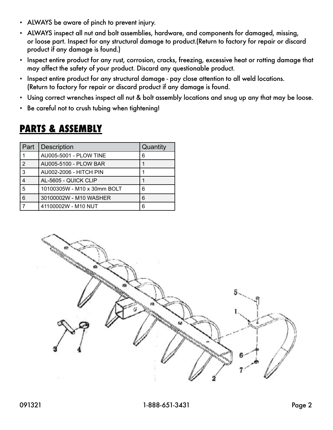- ALWAYS be aware of pinch to prevent injury.
- ALWAYS inspect all nut and bolt assemblies, hardware, and components for damaged, missing, or loose part. Inspect for any structural damage to product.(Return to factory for repair or discard product if any damage is found.)
- Inspect entire product for any rust, corrosion, cracks, freezing, excessive heat or rotting damage that may affect the safety of your product. Discard any questionable product.
- Inspect entire product for any structural damage pay close attention to all weld locations. (Return to factory for repair or discard product if any damage is found.
- Using correct wrenches inspect all nut & bolt assembly locations and snug up any that may be loose.
- Be careful not to crush tubing when tightening!

#### **PARTS & ASSEMBLY**

| Part           | <b>Description</b>            | Quantity |
|----------------|-------------------------------|----------|
|                | AU005-5001 - PLOW TINE        | 6        |
| $\overline{2}$ | AU005-5100 - PLOW BAR         |          |
| 3              | <b>AU002-2006 - HITCH PIN</b> |          |
| $\overline{4}$ | AL-5605 - QUICK CLIP          |          |
| 5              | 10100305W - M10 x 30mm BOLT   | 6        |
| 6              | 30100002W - M10 WASHER        | 6        |
|                | 41100002W - M10 NUT           | 6        |

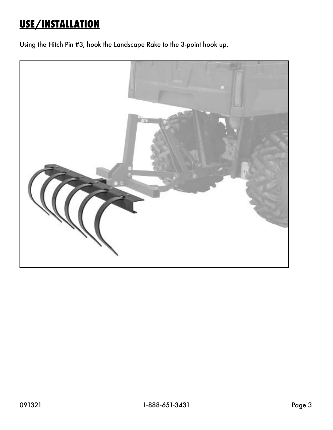## **USE/INSTALLATION**

Using the Hitch Pin #3, hook the Landscape Rake to the 3-point hook up.